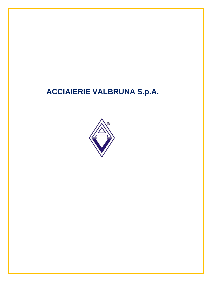## **ACCIAIERIE VALBRUNA S.p.A.**

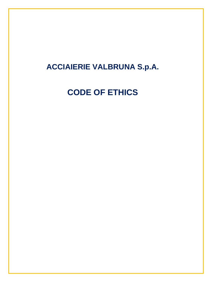## **ACCIAIERIE VALBRUNA S.p.A.**

# **CODE OF ETHICS**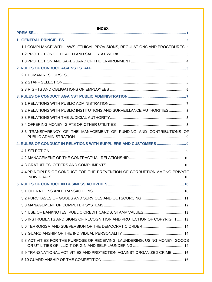| <b>INDEX</b>                                                                |
|-----------------------------------------------------------------------------|
|                                                                             |
|                                                                             |
| 1.1 COMPLIANCE WITH LAWS, ETHICAL PROVISIONS, REGULATIONS AND PROCEDURES.3  |
|                                                                             |
|                                                                             |
|                                                                             |
|                                                                             |
|                                                                             |
|                                                                             |
|                                                                             |
|                                                                             |
| 3.2 RELATIONS WITH PUBLIC INSTITUTIONS AND SURVEILLANCE AUTHORITIES 8       |
|                                                                             |
|                                                                             |
| 3.5 TRANSPARENCY OF THE MANAGEMENT OF FUNDING AND CONTRIBUTIONS OF          |
|                                                                             |
|                                                                             |
|                                                                             |
|                                                                             |
| 4.4 PRINCIPLES OF CONDUCT FOR THE PREVENTION OF CORRUPTION AMONG PRIVATE    |
|                                                                             |
|                                                                             |
|                                                                             |
|                                                                             |
|                                                                             |
| 5.5 INSTRUMENTS AND SIGNS OF RECOGNITION AND PROTECTION OF COPYRIGHT13      |
|                                                                             |
|                                                                             |
| 5.8 ACTIVITIES FOR THE PURPOSE OF RECEIVING, LAUNDERING, USING MONEY, GOODS |
| 5.9 TRANSNATIONAL ACTIVITIES AND PROTECTION AGAINST ORGANIZED CRIME16       |
|                                                                             |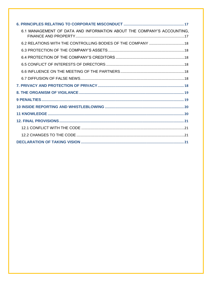| 6.1 MANAGEMENT OF DATA AND INFORMATION ABOUT THE COMPANY'S ACCOUNTING. |
|------------------------------------------------------------------------|
|                                                                        |
|                                                                        |
|                                                                        |
|                                                                        |
|                                                                        |
|                                                                        |
|                                                                        |
|                                                                        |
|                                                                        |
|                                                                        |
|                                                                        |
|                                                                        |
|                                                                        |
|                                                                        |
|                                                                        |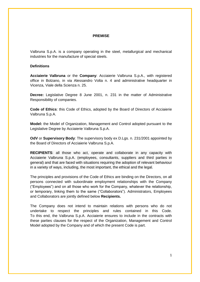#### **PREMISE**

<span id="page-4-0"></span>Valbruna S.p.A. is a company operating in the steel, metallurgical and mechanical industries for the manufacture of special steels.

#### **Definitions**

**Acciaierie Valbruna** or the **Company**: Acciaierie Valbruna S.p.A., with registered office in Bolzano, in via Alessandro Volta n. 4 and administrative headquarter in Vicenza, Viale della Scienza n. 25.

**Decree:** Legislative Degree 8 June 2001, n. 231 in the matter of Administrative Responsibility of companies.

**Code of Ethics**: this Code of Ethics, adopted by the Board of Directors of Acciaierie Valbruna S.p.A.

**Model:** the Model of Organization, Management and Control adopted pursuant to the Legislative Degree by Acciaierie Valbruna S.p.A.

**OdV** or **Supervisory Body**: The supervisory body ex D.Lgs. n. 231/2001 appointed by the Board of Directors of Acciaierie Valbruna S.p.A.

**RECIPIENTS**: all those who act, operate and collaborate in any capacity with Acciaierie Valbruna S.p.A. (employees, consultants, suppliers and third parties in general) and that are faced with situations requiring the adoption of relevant behaviour in a variety of ways, including, the most important, the ethical and the legal.

The principles and provisions of the Code of Ethics are binding on the Directors, on all persons connected with subordinate employment relationships with the Company ("Employees") and on all those who work for the Company, whatever the relationship, or temporary, linking them to the same ("Collaborators"). Administrators, Employees and Collaborators are jointly defined below **Recipients.**

The Company does not intend to maintain relations with persons who do not undertake to respect the principles and rules contained in this Code. To this end, the Valbruna S.p.A. Acciaierie ensures to include in the contracts with these parties clauses for the respect of the Organization, Management and Control Model adopted by the Company and of which the present Code is part.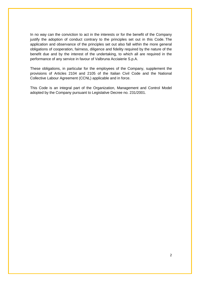In no way can the conviction to act in the interests or for the benefit of the Company justify the adoption of conduct contrary to the principles set out in this Code. The application and observance of the principles set out also fall within the more general obligations of cooperation, fairness, diligence and fidelity required by the nature of the benefit due and by the interest of the undertaking, to which all are required in the performance of any service in favour of Valbruna Acciaierie S.p.A.

These obligations, in particular for the employees of the Company, supplement the provisions of Articles 2104 and 2105 of the Italian Civil Code and the National Collective Labour Agreement (CCNL) applicable and in force.

This Code is an integral part of the Organization, Management and Control Model adopted by the Company pursuant to Legislative Decree no. 231/2001.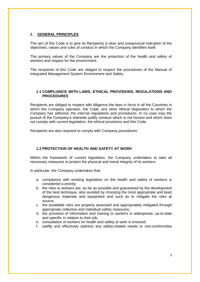## <span id="page-6-0"></span>**1. GENERAL PRINCIPLES**

The aim of this Code is to give its Recipients a clear and unequivocal indication of the objectives, values and rules of conduct in which the Company identifies itself.

The primary values of the Company are the protection of the health and safety of workers and respect for the environment.

The recipients of this Code are obliged to respect the procedures of the Manual of Integrated Management System Environment and Safety.

#### <span id="page-6-1"></span>**1.1 COMPLIANCE WITH LAWS, ETHICAL PROVISIONS, REGULATIONS AND PROCEDURES**

Recipients are obliged to respect with diligence the laws in force in all the Countries in which the Company operates, the Code, any other ethical disposition to which the Company has adhered, the internal regulations and procedures. In no case may the pursuit of the Company's interests justify conduct which is not honest and which does not comply with current legislation, the ethical provisions and this Code.

<span id="page-6-2"></span>Recipients are also required to comply with Company procedures.

## **1.2 PROTECTION OF HEALTH AND SAFETY AT WORK**

Within the framework of current legislation, the Company undertakes to take all necessary measures to protect the physical and moral integrity of its workers.

In particular, the Company undertakes that:

- a. compliance with existing legislation on the health and safety of workers is considered a priority;
- b. the risks to workers are, as far as possible and guaranteed by the development of the best technique, also avoided by choosing the most appropriate and least dangerous materials and equipment and such as to mitigate the risks at source;
- c. the avoidable risks are properly assessed and appropriately mitigated through appropriate collective and individual safety measures;
- d. the provision of information and training to workers is widespread, up-to-date and specific in relation to their job;
- e. consultation of workers on health and safety at work is ensured;
- f. swiftly and effectively address any safety-related needs or non-conformities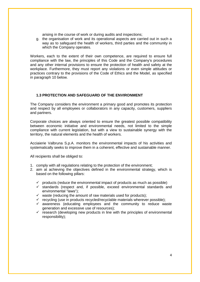arising in the course of work or during audits and inspections;

g. the organisation of work and its operational aspects are carried out in such a way as to safeguard the health of workers, third parties and the community in which the Company operates.

Workers, each to the extent of their own competence, are required to ensure full compliance with the law, the principles of this Code and the Company's procedures and any other internal provisions to ensure the protection of health and safety at the workplace. Furthermore, they must report any violations or even simple attitudes or practices contrary to the provisions of the Code of Ethics and the Model, as specified in paragraph 10 below.

## <span id="page-7-0"></span>**1.3 PROTECTION AND SAFEGUARD OF THE ENVIRONMENT**

The Company considers the environment a primary good and promotes its protection and respect by all employees or collaborators in any capacity, customers, suppliers and partners.

Corporate choices are always oriented to ensure the greatest possible compatibility between economic initiative and environmental needs, not limited to the simple compliance with current legislation, but with a view to sustainable synergy with the territory, the natural elements and the health of workers.

Acciaierie Valbruna S.p.A. monitors the environmental impacts of his activities and systematically seeks to improve them in a coherent, effective and sustainable manner.

All recipients shall be obliged to:

- 1. comply with all regulations relating to the protection of the environment;
- 2. aim at achieving the objectives defined in the environmental strategy, which is based on the following pillars:
	- $\checkmark$  products (reduce the environmental impact of products as much as possible)
	- $\checkmark$  standards (respect and, if possible, exceed environmental standards and environmental "laws");
	- $\checkmark$  waste (reducing the amount of raw materials used for products);
	- $\checkmark$  recycling (use in products recycled/recyclable materials wherever possible);
	- $\checkmark$  awareness (educating employees and the community to reduce waste generation and excessive use of resources);
	- $\checkmark$  research (developing new products in line with the principles of environmental responsibility);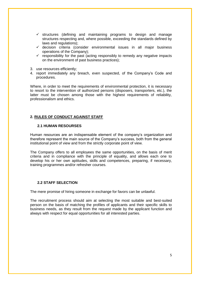- $\checkmark$  structures (defining and maintaining programs to design and manage structures respecting and, where possible, exceeding the standards defined by laws and regulations);
- $\checkmark$  decision criteria (consider environmental issues in all major business operations of the Company);
- $\checkmark$  responsibility for the past (acting responsibly to remedy any negative impacts on the environment of past business practices);
- 3. use resources efficiently;
- 4. report immediately any breach, even suspected, of the Company's Code and procedures.

Where, in order to meet the requirements of environmental protection, it is necessary to resort to the intervention of authorized persons (disposers, transporters, etc.), the latter must be chosen among those with the highest requirements of reliability, professionalism and ethics.

## <span id="page-8-1"></span><span id="page-8-0"></span>**2. RULES OF CONDUCT AGAINST STAFF**

#### **2.1 HUMAN RESOURSES**

Human resources are an indispensable element of the company's organization and therefore represent the main source of the Company's success, both from the general institutional point of view and from the strictly corporate point of view.

The Company offers to all employees the same opportunities, on the basis of merit criteria and in compliance with the principle of equality, and allows each one to develop his or her own aptitudes, skills and competences, preparing, if necessary, training programmes and/or refresher courses.

## <span id="page-8-2"></span>**2.2 STAFF SELECTION**

The mere promise of hiring someone in exchange for favors can be unlawful.

The recruitment process should aim at selecting the most suitable and best-suited person on the basis of matching the profiles of applicants and their specific skills to business needs, as they result from the request made by the applicant function and always with respect for equal opportunities for all interested parties.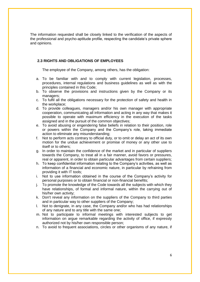The information requested shall be closely linked to the verification of the aspects of the professional and psycho-aptitude profile, respecting the candidate's private sphere and opinions.

## <span id="page-9-0"></span>**2.3 RIGHTS AND OBLIGATIONS OF EMPLOYEES**

The employee of the Company, among others, has the obligation:

- a. To be familiar with and to comply with current legislation, processes, procedures, internal regulations and business guidelines as well as with the principles contained in this Code;
- b. To observe the provisions and instructions given by the Company or its managers;
- c. To fulfil all the obligations necessary for the protection of safety and health in the workplace;
- d. To provide colleagues, managers and/or his own manager with appropriate cooperation, communicating all information and acting in any way that makes it possible to operate with maximum efficiency in the execution of the tasks assigned and in the pursuit of the common objectives;
- e. To avoid abusing or engendering false beliefs in relation to their position, role or powers within the Company and the Company's role, taking immediate action to eliminate any misunderstanding;
- f. Not to perform acts contrary to official duty, or to omit or delay an act of its own motion for the undue achievement or promise of money or any other use to itself or to others;
- g. In order to maintain the confidence of the market and in particular of suppliers towards the Company, to treat all in a fair manner, avoid favors or pressures, real or apparent, in order to obtain particular advantages from certain suppliers;
- h. To keep confidential information relating to the Company's activities, as well as information of a financial and economic nature, in particular by refraining from providing it with IT tools;
- i. Not to use information obtained in the course of the Company's activity for personal purposes or to obtain financial or non-financial benefits;
- j. To promote the knowledge of the Code towards all the subjects with which they have relationships, of formal and informal nature, within the carrying out of his/her own activity;
- k. Don't reveal any information on the suppliers of the Company to third parties and in particular way to other suppliers of the Company;
- l. Not to denigrate, in any case, the Company and/or who has had relationships of any nature and to any title with the same one;
- m. Not to participate to informal meetings with interested subjects to get information on argue remarkable regarding the activity of office, if expressly authorized not by his/her own responsible person;
- n. To avoid to frequent associations, circles or other organisms of any nature, if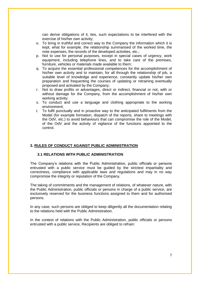can derive obligations of it, ties, such expectations to be interfered with the exercise of his/her own activity;

- o. To bring in truthful and correct way to the Company the information which it is kept, what for example, the relationship summarised of the worked time, the note expenses, the records of the developed activities, etc.;
- p. Not to use for personal purposes, except in special cases of urgency, work equipment, including telephone lines, and to take care of the premises, furniture, vehicles or materials made available to them;
- q. To acquire the essential professional competences for the accomplishment of his/her own activity and to maintain, for all through the relationship of job, a suitable level of knowledge and experience, constantly update his/her own preparation and frequenting the courses of updating or retraining eventually proposed and activated by the Company;
- r. Not to draw profits or advantages, direct or indirect, financial or not, with or without damage for the Company, from the accomplishment of his/her own working activity;
- s. To conduct and use a language and clothing appropriate to the working environment;
- t. To fulfil punctually and in proactive way to the anticipated fulfilments from the Model (for example formation, dispatch of the reports, share to meetings with the OdV, etc.) to avoid behaviours that can compromise the role of the Model, of the OdV and the activity of vigilance of the functions appointed to the control.

#### <span id="page-10-1"></span><span id="page-10-0"></span>**3. RULES OF CONDUCT AGAINST PUBLIC ADMINISTRATION**

#### **3.1 RELATIONS WITH PUBLIC ADMINISTRATION**

The Company's relations with the Public Administration, public officials or persons entrusted with a public service must be guided by the strictest impartiality and correctness, compliance with applicable laws and regulations and may in no way compromise the integrity or reputation of the Company.

The taking of commitments and the management of relations, of whatever nature, with the Public Administration, public officials or persons in charge of a public service, are exclusively reserved for the business functions assigned to them and for authorised persons.

In any case, such persons are obliged to keep diligently all the documentation relating to the relations held with the Public Administration.

In the context of relations with the Public Administration, public officials or persons entrusted with a public service, Recipients are obliged to refrain: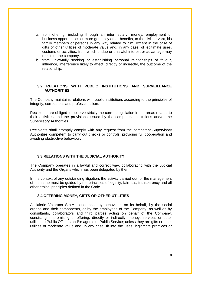- a. from offering, including through an intermediary, money, employment or business opportunities or more generally other benefits, to the civil servant, his family members or persons in any way related to him; except in the case of gifts or other utilities of moderate value and, in any case, of legitimate uses, customs or activities, from which undue or unlawful interest or advantage may result for the company.
- b. from unlawfully seeking or establishing personal relationships of favour, influence, interference likely to affect, directly or indirectly, the outcome of the relationship.

## <span id="page-11-0"></span>**3.2 RELATIONS WITH PUBLIC INSTITUTIONS AND SURVEILLANCE AUTHORITIES**

The Company maintains relations with public institutions according to the principles of integrity, correctness and professionalism.

Recipients are obliged to observe strictly the current legislation in the areas related to their activities and the provisions issued by the competent institutions and/or the Supervisory Authorities.

Recipients shall promptly comply with any request from the competent Supervisory Authorities competent to carry out checks or controls, providing full cooperation and avoiding obstructive behaviour.

#### <span id="page-11-1"></span>**3.3 RELATIONS WITH THE JUDICIAL AUTHORITY**

The Company operates in a lawful and correct way, collaborating with the Judicial Authority and the Organs which has been delegated by them.

<span id="page-11-2"></span>In the context of any outstanding litigation, the activity carried out for the management of the same must be guided by the principles of legality, fairness, transparency and all other ethical principles defined in the Code.

## **3.4 OFFERING MONEY, GIFTS OR OTHER UTILITIES**

Acciaierie Valbruna S.p.A. condemns any behaviour, on its behalf, by the social organs and their components, or by the employees of the Company, as well as by consultants, collaborators and third parties acting on behalf of the Company, consisting in promising or offering, directly or indirectly, money, services or other utilities to Public Officers and/or agents of Public Service; unless they are gifts or other utilities of moderate value and, in any case, fit into the uses, legitimate practices or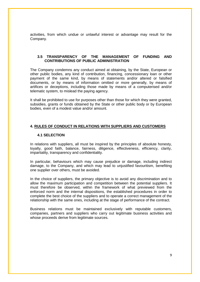activities, from which undue or unlawful interest or advantage may result for the Company.

## <span id="page-12-0"></span>**3.5 TRANSPARENCY OF THE MANAGEMENT OF FUNDING AND CONTRIBUTIONS OF PUBLIC ADMINISTRATION**

The Company condemns any conduct aimed at obtaining, by the State, European or other public bodies, any kind of contribution, financing, concessionary loan or other payment of the same kind, by means of statements and/or altered or falsified documents, or by means of information omitted or more generally, by means of artifices or deceptions, including those made by means of a computerised and/or telematic system, to mislead the paying agency.

It shall be prohibited to use for purposes other than those for which they were granted, subsidies, grants or funds obtained by the State or other public body or by European bodies, even of a modest value and/or amount.

#### <span id="page-12-2"></span><span id="page-12-1"></span>**4. RULES OF CONDUCT IN RELATIONS WITH SUPPLIERS AND CUSTOMERS**

#### **4.1 SELECTION**

In relations with suppliers, all must be inspired by the principles of absolute honesty, lovalty, good faith, balance, fairness, diligence, effectiveness, efficiency, clarity, impartiality, transparency and confidentiality.

In particular, behaviours which may cause prejudice or damage, including indirect damage, to the Company, and which may lead to unjustified favouritism, benefiting one supplier over others, must be avoided.

In the choice of suppliers, the primary objective is to avoid any discrimination and to allow the maximum participation and competition between the potential suppliers. It must therefore be observed, within the framework of what previewed from the enforced norm and the internal dispositions, the established procedures in order to complete the best choice of the suppliers and to operate a correct management of the relationship with the same ones, including at the stage of performance of the contract.

Business relations must be maintained exclusively with reputable customers, companies, partners and suppliers who carry out legitimate business activities and whose proceeds derive from legitimate sources.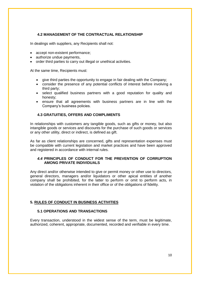## <span id="page-13-0"></span>**4.2 MANAGEMENT OF THE CONTRACTUAL RELATIONSHIP**

In dealings with suppliers, any Recipients shall not:

- accept non-existent performance;
- authorize undue payments.
- order third parties to carry out illegal or unethical activities.

At the same time, Recipients must:

- give third parties the opportunity to engage in fair dealing with the Company;
- consider the presence of any potential conflicts of interest before involving a third party;
- select qualified business partners with a good reputation for quality and honesty;
- <span id="page-13-1"></span> ensure that all agreements with business partners are in line with the Company's business policies.

## **4.3 GRATUITIES, OFFERS AND COMPLIMENTS**

In relationships with customers any tangible goods, such as gifts or money, but also intangible goods or services and discounts for the purchase of such goods or services or any other utility, direct or indirect, is defined as gift.

<span id="page-13-2"></span>As far as client relationships are concerned, gifts and representation expenses must be compatible with current legislation and market practices and have been approved and registered in accordance with internal rules.

## *4.4* **PRINCIPLES OF CONDUCT FOR THE PREVENTION OF CORRUPTION AMONG PRIVATE INDIVIDUALS**

Any direct and/or otherwise intended to give or permit money or other use to directors, general directors, managers and/or liquidators or other apical entities of another company shall be prohibited, for the latter to perform or omit to perform acts, in violation of the obligations inherent in their office or of the obligations of fidelity.

#### <span id="page-13-4"></span><span id="page-13-3"></span>**5. RULES OF CONDUCT IN BUSINESS ACTIVITIES**

## **5.1 OPERATIONS AND TRANSACTIONS**

Every transaction, understood in the widest sense of the term, must be legitimate, authorized, coherent, appropriate, documented, recorded and verifiable in every time.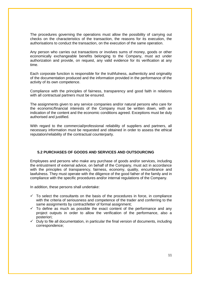The procedures governing the operations must allow the possibility of carrying out checks on the characteristics of the transaction, the reasons for its execution, the authorisations to conduct the transaction, on the execution of the same operation.

Any person who carries out transactions or involves sums of money, goods or other economically exchangeable benefits belonging to the Company, must act under authorization and provide, on request, any valid evidence for its verification at any time.

Each corporate function is responsible for the truthfulness, authenticity and originality of the documentation produced and the information provided in the performance of the activity of its own competence.

Compliance with the principles of fairness, transparency and good faith in relations with all contractual partners must be ensured.

The assignments given to any service companies and/or natural persons who care for the economic/financial interests of the Company must be written down, with an indication of the content and the economic conditions agreed. Exceptions must be duly authorised and justified.

With regard to the commercial/professional reliability of suppliers and partners, all necessary information must be requested and obtained in order to assess the ethical reputation/reliability of the contractual counterparty.

## <span id="page-14-0"></span>**5.2 PURCHASES OF GOODS AND SERVICES AND OUTSOURCING**

Employees and persons who make any purchase of goods and/or services, including the entrustment of external advice, on behalf of the Company, must act in accordance with the principles of transparency, fairness, economy, quality, encumbrance and lawfulness. They must operate with the diligence of the good father of the family and in compliance with the specific procedures and/or internal regulations of the Company.

In addition, these persons shall undertake:

- $\checkmark$  To select the consultants on the basis of the procedures in force, in compliance with the criteria of seriousness and competence of the trader and conferring to the same assignments by contract/letter of formal assignment;
- $\checkmark$  To define as much as possible the exact content of the performance and any project outputs in order to allow the verification of the performance, also a posteriori;
- $\checkmark$  Duly to file all documentation, in particular the final version of documents, including correspondence;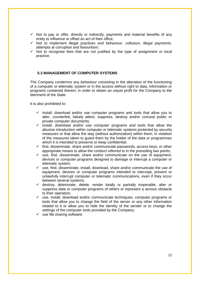- $\checkmark$  Not to pay or offer, directly or indirectly, payments and material benefits of any entity to influence or offset an act of their office;
- $\checkmark$  Not to implement illegal practices and behaviour, collusion, illegal payments, attempts at corruption and favouritism;
- $\checkmark$  Not to recognise fees that are not justified by the type of assignment or local practice.

## <span id="page-15-0"></span>**5.3 MANAGEMENT OF COMPUTER SYSTEMS**

The Company condemns any behaviour consisting in the alteration of the functioning of a computer or telematic system or in the access without right to data, information or programs contained therein, in order to obtain an unjust profit for the Company to the detriment of the State.

It is also prohibited to:

- $\checkmark$  install, download and/or use computer programs and tools that allow you to alter, counterfeit, falsely attest, suppress, destroy and/or conceal public or private computer documents;
- $\checkmark$  install, download and/or use computer programs and tools that allow the abusive introduction within computer or telematic systems protected by security measures or that allow the stay (without authorization) within them, in violation of the measures taken to guard them by the holder of the data or programmes which it is intended to preserve or keep confidential;
- $\checkmark$  find, disseminate, share and/or communicate passwords, access keys, or other appropriate means to allow the conduct referred to in the preceding two points;
- $\checkmark$  use, find, disseminate, share and/or communicate on the use of equipment, devices or computer programs designed to damage or interrupt a computer or telematic system;
- $\checkmark$  use, find, disseminate, install, download, share and/or communicate the use of equipment, devices or computer programs intended to intercept, prevent or unlawfully interrupt computer or telematic communications, even if they occur between several systems;
- $\checkmark$  destroy, deteriorate, delete, render totally or partially inoperable, alter or suppress data or computer programs of others or represent a serious obstacle to their operation;
- $\checkmark$  use, install, download and/or communicate techniques, computer programs or tools that allow you to change the field of the server or any other information related to it or allow you to hide the identity of the sender or to change the settings of the computer tools provided by the Company;
- $\checkmark$  use file sharing software.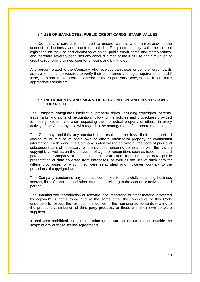#### <span id="page-16-0"></span>**5.4 USE OF BANKNOTES, PUBLIC CREDIT CARDS, STAMP VALUES**

The Company is careful to the need to ensure fairness and transparency in the conduct of business and requires, that the Recipients comply with the current legislation on the use and circulation of coins, public credit cards and stamp values, and therefore severely penalises any conduct aimed at the illicit use and circulation of credit cards, stamp values, counterfeit coins and banknotes.

Any person related to the Company who receives banknotes or coins or credit cards as payment shall be required to verify their compliance and legal requirements; and if false, to inform its hierarchical superior or the Supervisory Body, so that it can make appropriate complaints.

#### <span id="page-16-1"></span>**5.5 INSTRUMENTS AND SIGNS OF RECOGNITION AND PROTECTION OF COPYRIGHT**

The Company safeguards intellectual property rights, including copyrights, patents, trademarks and signs of recognition, following the policies and procedures provided for their protection and also respecting the intellectual property of others, in every activity of the Company also with regard to the management of corporate marketing.

The Company prohibits any conduct that results in the loss, theft, unauthorized disclosure or misuse of one's own or others' intellectual property or confidential information. To this end, the Company undertakes to activate all methods of prior and subsequent control necessary for the purpose, ensuring compliance with the law on copyright, as well as on the protection of signs of recognition, such as trademarks and patents. The Company also denounces the extraction, reproduction of data, public presentation of data collected from databases, as well as the use of such data for different purposes for which they were established and, however, contrary to the provisions of copyright law.

The Company condemns any conduct committed for unlawfully obtaining business secrets, lists of suppliers and other information relating to the economic activity of third parties.

The unauthorized reproduction of software, documentation or other material protected by copyright is not allowed and at the same time, the Recipients of this Code undertake to respect the restrictions specified in the licensing agreements relating to the production/distribution of third party products, or those with their own software suppliers.

It shall also prohibited using or reproducing software or documentation outside the scope of any of these license agreements.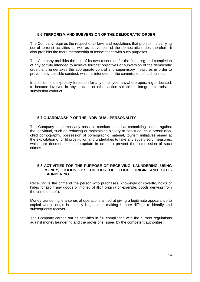## <span id="page-17-0"></span>**5.6 TERRORISM AND SUBVERSION OF THE DEMOCRATIC ORDER**

The Company requires the respect of all laws and regulations that prohibit the carrying out of terrorist activities as well as subversion of the democratic order; therefore, it also prohibits the mere membership of associations with such purposes.

The Company prohibits the use of its own resources for the financing and completion of any activity intended to achieve terrorist objectives or subversion of the democratic order, and undertakes the appropriate control and supervisory measures in order to prevent any possible conduct, which is intended for the commission of such crimes.

In addition, it is expressly forbidden for any employee, anywhere operating or located, to become involved in any practice or other action suitable to integrate terrorist or subversion conduct.

## <span id="page-17-1"></span>**5.7 GUARDIANSHIP OF THE INDIVIDUAL PERSONALITY**

The Company condemns any possible conduct aimed at committing crimes against the individual, such as reducing or maintaining slavery or servitude, child prostitution, child pornography, possession of pornographic material, tourism initiatives aimed at the exploitation of child prostitution and undertakes to take any supervisory measures, which are deemed most appropriate in order to prevent the commission of such crimes.

### <span id="page-17-2"></span>**5.8 ACTIVITIES FOR THE PURPOSE OF RECEIVING, LAUNDERING, USING MONEY, GOODS OR UTILITIES OF ILLICIT ORIGIN AND SELF-LAUNDERING**

Receiving is the crime of the person who purchases, knowingly or covertly, holds or hides for profit any goods or money of illicit origin (for example, goods deriving from the crime of theft).

Money laundering is a series of operations aimed at giving a legitimate appearance to capital whose origin is actually illegal, thus making it more difficult to identify and subsequently recover.

The Company carries out its activities in full compliance with the current regulations against money laundering and the provisions issued by the competent authorities.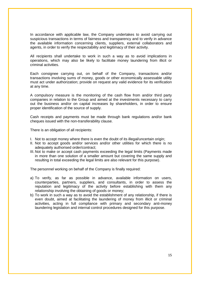In accordance with applicable law, the Company undertakes to avoid carrying out suspicious transactions in terms of fairness and transparency and to verify in advance the available information concerning clients, suppliers, external collaborators and agents, in order to verify the respectability and legitimacy of their activity.

All recipients shall undertake to work in such a way as to avoid implications in operations, which may also be likely to facilitate money laundering from illicit or criminal activities.

Each consignee carrying out, on behalf of the Company, transactions and/or transactions involving sums of money, goods or other economically assessable utility must act under authorization; provide on request any valid evidence for its verification at any time.

A compulsory measure is the monitoring of the cash flow from and/or third party companies in relation to the Group and aimed at the investments necessary to carry out the business and/or on capital increases by shareholders, in order to ensure proper identification of the source of supply.

Cash receipts and payments must be made through bank regulations and/or bank cheques issued with the non-transferability clause.

There is an obligation of all recipients:

- I. Not to accept money where there is even the doubt of its illegal/uncertain origin;
- II. Not to accept goods and/or services and/or other utilities for which there is no adequately authorised order/contract;
- III. Not to make or accept cash payments exceeding the legal limits (Payments made in more than one solution of a smaller amount but covering the same supply and resulting in total exceeding the legal limits are also relevant for this purpose).

The personnel working on behalf of the Company is finally required:

- a) To verify, as far as possible in advance, available information on users, counterparties, partners, suppliers, and consultants, in order to assess the reputation and legitimacy of the activity before establishing with them any relationship involving the obtaining of goods or money;
- b) To work in such a way as to avoid the establishment of any relationship, if there is even doubt, aimed at facilitating the laundering of money from illicit or criminal activities, acting in full compliance with primary and secondary anti-money laundering legislation and internal control procedures designed for this purpose.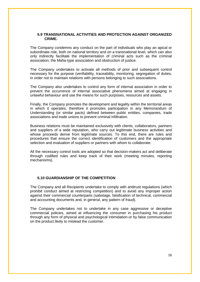#### <span id="page-19-0"></span>**5.9 TRANSNATIONAL ACTIVITIES AND PROTECTION AGAINST ORGANIZED CRIME.**

The Company condemns any conduct on the part of individuals who play an apical or subordinate role, both on national territory and on a transnational level, which can also only indirectly facilitate the implementation of criminal acts such as the criminal association, the Mafia-type association and obstruction of justice.

The Company undertakes to activate all methods of prior and subsequent control necessary for the purpose (verifiability, traceability, monitoring, segregation of duties, in order not to maintain relations with persons belonging to such associations.

The Company also undertakes to control any form of internal association in order to prevent the occurrence of internal associative phenomena aimed at engaging in unlawful behaviour and use the means for such purposes, resources and assets.

Finally, the Company promotes the development and legality within the territorial areas in which it operates; therefore it promotes participation in any Memorandum of Understanding (or similar pacts) defined between public entities, companies, trade associations and trade unions to prevent criminal infiltration.

Business relations must be maintained exclusively with clients, collaborators, partners and suppliers of a wide reputation, who carry out legitimate business activities and whose proceeds derive from legitimate sources. To this end, there are rules and procedures that ensure the correct identification of customers and the appropriate selection and evaluation of suppliers or partners with whom to collaborate.

All the necessary control tools are adopted so that decision-makers act and deliberate through codified rules and keep track of their work (meeting minutes, reporting mechanisms).

#### <span id="page-19-1"></span>**5.10 GUARDIANSHIP OF THE COMPETITION**

The Company and all Recipients undertake to comply with antitrust regulations (which prohibit conduct aimed at restricting competition) and to avoid any improper action against their commercial counterparts (sabotage, falsification of technical, commercial and accounting documents and, in general, any pattern of fraud).

The Company undertakes not to undertake in any case aggressive or deceptive commercial policies, aimed at influencing the consumer in purchasing his product through any form of physical and psychological intimidation-or by false communication on the product likely to mislead the customer.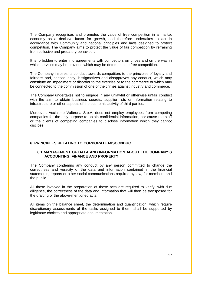The Company recognises and promotes the value of free competition in a market economy as a decisive factor for growth, and therefore undertakes to act in accordance with Community and national principles and laws designed to protect competition. The Company aims to protect the value of fair competition by refraining from collusive and predatory behaviour.

It is forbidden to enter into agreements with competitors on prices and on the way in which services may be provided which may be detrimental to free competition.

The Company inspires its conduct towards competitors to the principles of loyalty and fairness and, consequently, it stigmatizes and disapproves any conduct, which may constitute an impediment or disorder to the exercise or to the commerce or which may be connected to the commission of one of the crimes against industry and commerce.

The Company undertakes not to engage in any unlawful or otherwise unfair conduct with the aim to obtain business secrets, supplier lists or information relating to infrastructure or other aspects of the economic activity of third parties.

Moreover, Acciaierie Valbruna S.p.A, does not employ employees from competing companies for the only purpose to obtain confidential information, nor cause the staff or the clients of competing companies to disclose information which they cannot disclose.

#### <span id="page-20-1"></span><span id="page-20-0"></span>**6. PRINCIPLES RELATING TO CORPORATE MISCONDUCT**

### **6.1 MANAGEMENT OF DATA AND INFORMATION ABOUT THE COMPANY'S ACCOUNTING, FINANCE AND PROPERTY**

The Company condemns any conduct by any person committed to change the correctness and veracity of the data and information contained in the financial statements, reports or other social communications required by law, for members and the public.

All those involved in the preparation of these acts are required to verify, with due diligence, the correctness of the data and information that will then be transposed for the drafting of the above-mentioned acts.

All items on the balance sheet, the determination and quantification, which require discretionary assessments of the tasks assigned to them, shall be supported by legitimate choices and appropriate documentation.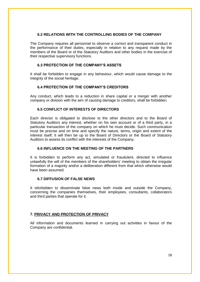## <span id="page-21-0"></span>**6.2 RELATIONS WITH THE CONTROLLING BODIES OF THE COMPANY**

The Company requires all personnel to observe a correct and transparent conduct in the performance of their duties, especially in relation to any request made by the members of the Board or of the Statutory Auditors and other bodies in the exercise of their respective supervisory functions.

## <span id="page-21-1"></span>**6.3 PROTECTION OF THE COMPANY'S ASSETS**

<span id="page-21-2"></span>It shall be forbidden to engage in any behaviour, which would cause damage to the integrity of the social heritage.

## **6.4 PROTECTION OF THE COMPANY'S CREDITORS**

<span id="page-21-3"></span>Any conduct, which leads to a reduction in share capital or a merger with another company or division with the aim of causing damage to creditors, shall be forbidden.

## **6.5 CONFLICT OF INTERESTS OF DIRECTORS**

Each director is obligated to disclose to the other directors and to the Board of Statutory Auditors any interest, whether on his own account or of a third party, in a particular transaction of the company on which he must decide. Such communication must be precise and on time and specify the nature, terms, origin and extent of the interest itself; It will then be up to the Board of Directors or the Board of Statutory Auditors to assess its conflict with the interests of the Company.

### <span id="page-21-4"></span>**6.6 INFLUENCE ON THE MEETING OF THE PARTNERS**

It is forbidden to perform any act, simulated or fraudulent, directed to influence unlawfully the will of the members of the shareholders' meeting to obtain the irregular formation of a majority and/or a deliberation different from that which otherwise would have been assumed.

## <span id="page-21-5"></span>**6.7 DIFFUSION OF FALSE NEWS**

It isforbidden to disseminate false news both inside and outside the Company, concerning the companies themselves, their employees, consultants, collaborators and third parties that operate for it.

## <span id="page-21-6"></span>**7. PRIVACY AND PROTECTION OF PRIVACY**

All information and documents learned in carrying out activities in favour of the Company are confidential.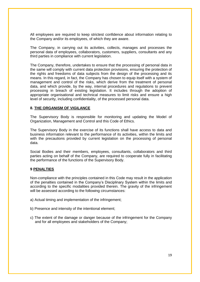All employees are required to keep strictest confidence about information relating to the Company and/or its employees, of which they are aware.

The Company, in carrying out its activities, collects, manages and processes the personal data of employees, collaborators, customers, suppliers, consultants and any third parties in compliance with current legislation.

The Company, therefore, undertakes to ensure that the processing of personal data in the same will comply with current data protection provisions, ensuring the protection of the rights and freedoms of data subjects from the design of the processing and its means. In this regard, in fact, the Company has chosen to equip itself with a system of management and control of the risks, which derive from the treatment of personal data, and which provide, by the way, internal procedures and regulations to prevent processing in breach of existing legislation. It includes through the adoption of appropriate organisational and technical measures to limit risks and ensure a high level of security, including confidentiality, of the processed personal data.

#### <span id="page-22-0"></span>**8. THE ORGANISM OF VIGILANCE**

The Supervisory Body is responsible for monitoring and updating the Model of Organization, Management and Control and this Code of Ethics.

The Supervisory Body in the exercise of its functions shall have access to data and business information relevant to the performance of its activities, within the limits and with the precautions provided by current legislation on the processing of personal data.

Social Bodies and their members, employees, consultants, collaborators and third parties acting on behalf of the Company, are required to cooperate fully in facilitating the performance of the functions of the Supervisory Body.

#### <span id="page-22-1"></span>**9 PENALTIES**

Non-compliance with the principles contained in this Code may result in the application of the penalties contained in the Company's Disciplinary System within the limits and according to the specific modalities provided therein. The gravity of the infringement will be assessed according to the following circumstances:

- a) Actual timing and implementation of the infringement;
- b) Presence and intensity of the intentional element;
- c) The extent of the damage or danger because of the infringement for the Company and for all employees and stakeholders of the Company;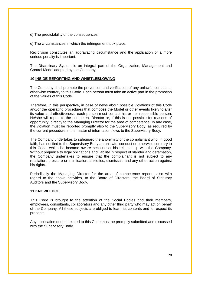- d) The predictability of the consequences;
- e) The circumstances in which the infringement took place.

Recidivism constitutes an aggravating circumstance and the application of a more serious penalty is important.

<span id="page-23-0"></span>The Disciplinary System is an integral part of the Organization, Management and Control Model adopted by the Company.

#### **10 INSIDE REPORTING AND WHISTLEBLOWING**

The Company shall promote the prevention and verification of any unlawful conduct or otherwise contrary to this Code. Each person must take an active part in the promotion of the values of this Code.

Therefore, in this perspective, in case of news about possible violations of this Code and/or the operating procedures that compose the Model or other events likely to alter its value and effectiveness, each person must contact his or her responsible person. He/she will report to the competent Director or, if this is not possible for reasons of opportunity, directly to the Managing Director for the area of competence. In any case, the violation must be reported promptly also to the Supervisory Body, as required by the current procedure in the matter of information flows to the Supervisory Body.

The Company undertakes to safeguard the anonymity of the complainant who, in good faith, has notified to the Supervisory Body an unlawful conduct or otherwise contrary to this Code, which he became aware because of his relationship with the Company. Without prejudice to legal obligations and liability in respect of slander and defamation, the Company undertakes to ensure that the complainant is not subject to any retaliation, pressure or intimidation, anxieties, dismissals and any other action against his rights.

Periodically the Managing Director for the area of competence reports, also with regard to the above activities, to the Board of Directors, the Board of Statutory Auditors and the Supervisory Body.

## <span id="page-23-1"></span>**11 KNOWLEDGE**

This Code is brought to the attention of the Social Bodies and their members, employees, consultants, collaborators and any other third party who may act on behalf of the Company. All these subjects are obliged to learn its contents and to respect its precepts.

Any application doubts related to this Code must be promptly submitted and discussed with the Supervisory Body.